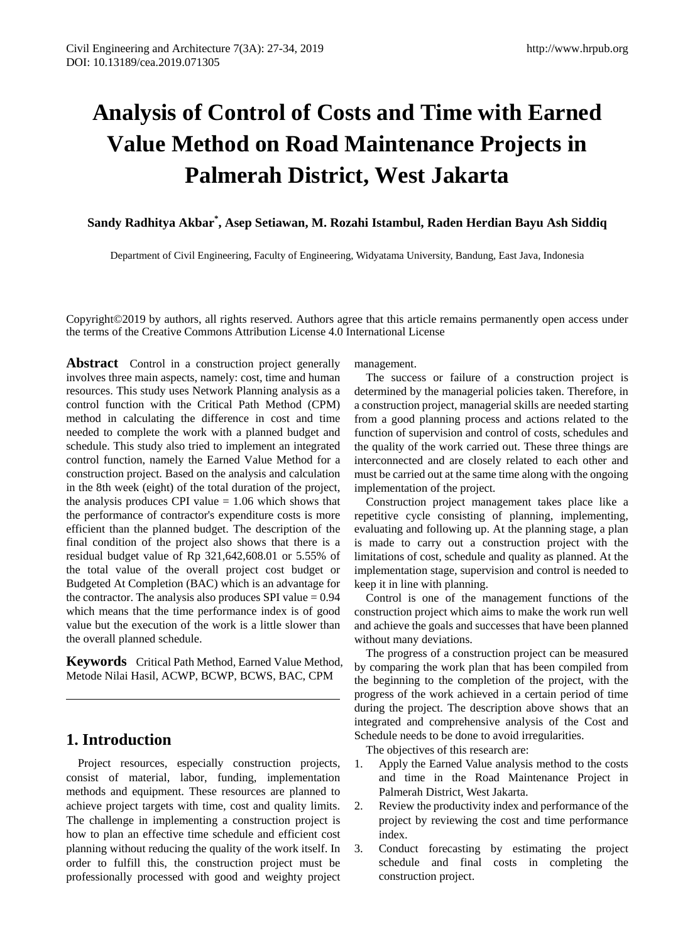# **Analysis of Control of Costs and Time with Earned Value Method on Road Maintenance Projects in Palmerah District, West Jakarta**

**Sandy Radhitya Akbar\* , Asep Setiawan, M. Rozahi Istambul, Raden Herdian Bayu Ash Siddiq**

Department of Civil Engineering, Faculty of Engineering, Widyatama University, Bandung, East Java, Indonesia

Copyright©2019 by authors, all rights reserved. Authors agree that this article remains permanently open access under the terms of the Creative Commons Attribution License 4.0 International License

**Abstract** Control in a construction project generally involves three main aspects, namely: cost, time and human resources. This study uses Network Planning analysis as a control function with the Critical Path Method (CPM) method in calculating the difference in cost and time needed to complete the work with a planned budget and schedule. This study also tried to implement an integrated control function, namely the Earned Value Method for a construction project. Based on the analysis and calculation in the 8th week (eight) of the total duration of the project, the analysis produces CPI value  $= 1.06$  which shows that the performance of contractor's expenditure costs is more efficient than the planned budget. The description of the final condition of the project also shows that there is a residual budget value of Rp 321,642,608.01 or 5.55% of the total value of the overall project cost budget or Budgeted At Completion (BAC) which is an advantage for the contractor. The analysis also produces SPI value  $= 0.94$ which means that the time performance index is of good value but the execution of the work is a little slower than the overall planned schedule.

**Keywords** Critical Path Method, Earned Value Method, Metode Nilai Hasil, ACWP, BCWP, BCWS, BAC, CPM

# **1. Introduction**

Project resources, especially construction projects, consist of material, labor, funding, implementation methods and equipment. These resources are planned to achieve project targets with time, cost and quality limits. The challenge in implementing a construction project is how to plan an effective time schedule and efficient cost planning without reducing the quality of the work itself. In order to fulfill this, the construction project must be professionally processed with good and weighty project

management.

The success or failure of a construction project is determined by the managerial policies taken. Therefore, in a construction project, managerial skills are needed starting from a good planning process and actions related to the function of supervision and control of costs, schedules and the quality of the work carried out. These three things are interconnected and are closely related to each other and must be carried out at the same time along with the ongoing implementation of the project.

Construction project management takes place like a repetitive cycle consisting of planning, implementing, evaluating and following up. At the planning stage, a plan is made to carry out a construction project with the limitations of cost, schedule and quality as planned. At the implementation stage, supervision and control is needed to keep it in line with planning.

Control is one of the management functions of the construction project which aims to make the work run well and achieve the goals and successes that have been planned without many deviations.

The progress of a construction project can be measured by comparing the work plan that has been compiled from the beginning to the completion of the project, with the progress of the work achieved in a certain period of time during the project. The description above shows that an integrated and comprehensive analysis of the Cost and Schedule needs to be done to avoid irregularities.

The objectives of this research are:

- 1. Apply the Earned Value analysis method to the costs and time in the Road Maintenance Project in Palmerah District, West Jakarta.
- 2. Review the productivity index and performance of the project by reviewing the cost and time performance index.
- 3. Conduct forecasting by estimating the project schedule and final costs in completing the construction project.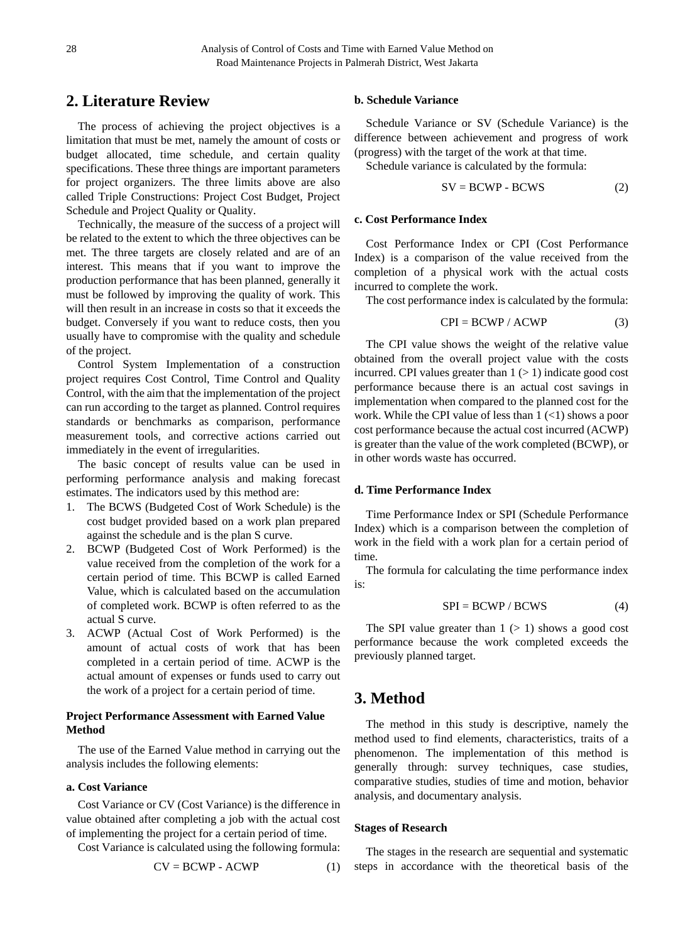# **2. Literature Review**

The process of achieving the project objectives is a limitation that must be met, namely the amount of costs or budget allocated, time schedule, and certain quality specifications. These three things are important parameters for project organizers. The three limits above are also called Triple Constructions: Project Cost Budget, Project Schedule and Project Quality or Quality.

Technically, the measure of the success of a project will be related to the extent to which the three objectives can be met. The three targets are closely related and are of an interest. This means that if you want to improve the production performance that has been planned, generally it must be followed by improving the quality of work. This will then result in an increase in costs so that it exceeds the budget. Conversely if you want to reduce costs, then you usually have to compromise with the quality and schedule of the project.

Control System Implementation of a construction project requires Cost Control, Time Control and Quality Control, with the aim that the implementation of the project can run according to the target as planned. Control requires standards or benchmarks as comparison, performance measurement tools, and corrective actions carried out immediately in the event of irregularities.

The basic concept of results value can be used in performing performance analysis and making forecast estimates. The indicators used by this method are:

- 1. The BCWS (Budgeted Cost of Work Schedule) is the cost budget provided based on a work plan prepared against the schedule and is the plan S curve.
- 2. BCWP (Budgeted Cost of Work Performed) is the value received from the completion of the work for a certain period of time. This BCWP is called Earned Value, which is calculated based on the accumulation of completed work. BCWP is often referred to as the actual S curve.
- 3. ACWP (Actual Cost of Work Performed) is the amount of actual costs of work that has been completed in a certain period of time. ACWP is the actual amount of expenses or funds used to carry out the work of a project for a certain period of time.

## **Project Performance Assessment with Earned Value Method**

The use of the Earned Value method in carrying out the analysis includes the following elements:

## **a. Cost Variance**

Cost Variance or CV (Cost Variance) is the difference in value obtained after completing a job with the actual cost of implementing the project for a certain period of time.

Cost Variance is calculated using the following formula:

$$
CV = BCWP - ACWP
$$
 (1)

## **b. Schedule Variance**

Schedule Variance or SV (Schedule Variance) is the difference between achievement and progress of work (progress) with the target of the work at that time.

Schedule variance is calculated by the formula:

$$
SV = BCWP - BCWS \tag{2}
$$

## **c. Cost Performance Index**

Cost Performance Index or CPI (Cost Performance Index) is a comparison of the value received from the completion of a physical work with the actual costs incurred to complete the work.

The cost performance index is calculated by the formula:

$$
CPI = BCWP / ACWP
$$
 (3)

The CPI value shows the weight of the relative value obtained from the overall project value with the costs incurred. CPI values greater than  $1 (> 1)$  indicate good cost performance because there is an actual cost savings in implementation when compared to the planned cost for the work. While the CPI value of less than  $1$  (<1) shows a poor cost performance because the actual cost incurred (ACWP) is greater than the value of the work completed (BCWP), or in other words waste has occurred.

#### **d. Time Performance Index**

Time Performance Index or SPI (Schedule Performance Index) which is a comparison between the completion of work in the field with a work plan for a certain period of time.

The formula for calculating the time performance index is:

$$
SPI = BCWP / BCWS \tag{4}
$$

The SPI value greater than  $1$  ( $> 1$ ) shows a good cost performance because the work completed exceeds the previously planned target.

# **3. Method**

The method in this study is descriptive, namely the method used to find elements, characteristics, traits of a phenomenon. The implementation of this method is generally through: survey techniques, case studies, comparative studies, studies of time and motion, behavior analysis, and documentary analysis.

#### **Stages of Research**

The stages in the research are sequential and systematic steps in accordance with the theoretical basis of the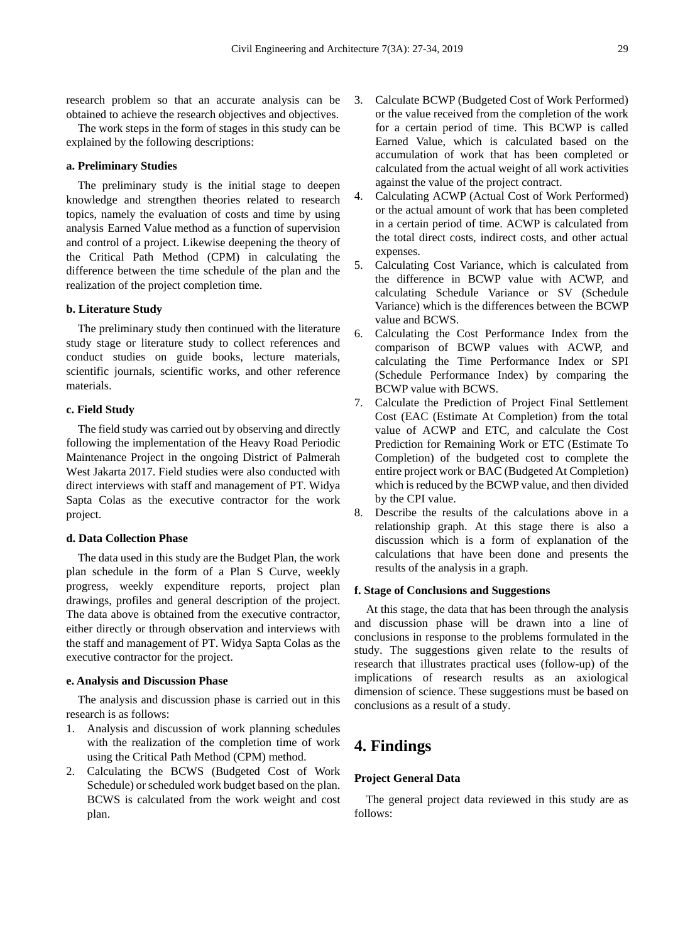research problem so that an accurate analysis can be obtained to achieve the research objectives and objectives.

The work steps in the form of stages in this study can be explained by the following descriptions:

## **a. Preliminary Studies**

The preliminary study is the initial stage to deepen knowledge and strengthen theories related to research topics, namely the evaluation of costs and time by using analysis Earned Value method as a function of supervision and control of a project. Likewise deepening the theory of the Critical Path Method (CPM) in calculating the difference between the time schedule of the plan and the realization of the project completion time.

## **b. Literature Study**

The preliminary study then continued with the literature study stage or literature study to collect references and conduct studies on guide books, lecture materials, scientific journals, scientific works, and other reference materials.

## **c. Field Study**

The field study was carried out by observing and directly following the implementation of the Heavy Road Periodic Maintenance Project in the ongoing District of Palmerah West Jakarta 2017. Field studies were also conducted with direct interviews with staff and management of PT. Widya Sapta Colas as the executive contractor for the work project.

## **d. Data Collection Phase**

The data used in this study are the Budget Plan, the work plan schedule in the form of a Plan S Curve, weekly progress, weekly expenditure reports, project plan drawings, profiles and general description of the project. The data above is obtained from the executive contractor, either directly or through observation and interviews with the staff and management of PT. Widya Sapta Colas as the executive contractor for the project.

#### **e. Analysis and Discussion Phase**

The analysis and discussion phase is carried out in this research is as follows:

- 1. Analysis and discussion of work planning schedules with the realization of the completion time of work using the Critical Path Method (CPM) method.
- 2. Calculating the BCWS (Budgeted Cost of Work Schedule) or scheduled work budget based on the plan. BCWS is calculated from the work weight and cost plan.
- 3. Calculate BCWP (Budgeted Cost of Work Performed) or the value received from the completion of the work for a certain period of time. This BCWP is called Earned Value, which is calculated based on the accumulation of work that has been completed or calculated from the actual weight of all work activities against the value of the project contract.
- 4. Calculating ACWP (Actual Cost of Work Performed) or the actual amount of work that has been completed in a certain period of time. ACWP is calculated from the total direct costs, indirect costs, and other actual expenses.
- 5. Calculating Cost Variance, which is calculated from the difference in BCWP value with ACWP, and calculating Schedule Variance or SV (Schedule Variance) which is the differences between the BCWP value and BCWS.
- 6. Calculating the Cost Performance Index from the comparison of BCWP values with ACWP, and calculating the Time Performance Index or SPI (Schedule Performance Index) by comparing the BCWP value with BCWS.
- 7. Calculate the Prediction of Project Final Settlement Cost (EAC (Estimate At Completion) from the total value of ACWP and ETC, and calculate the Cost Prediction for Remaining Work or ETC (Estimate To Completion) of the budgeted cost to complete the entire project work or BAC (Budgeted At Completion) which is reduced by the BCWP value, and then divided by the CPI value.
- 8. Describe the results of the calculations above in a relationship graph. At this stage there is also a discussion which is a form of explanation of the calculations that have been done and presents the results of the analysis in a graph.

## **f. Stage of Conclusions and Suggestions**

At this stage, the data that has been through the analysis and discussion phase will be drawn into a line of conclusions in response to the problems formulated in the study. The suggestions given relate to the results of research that illustrates practical uses (follow-up) of the implications of research results as an axiological dimension of science. These suggestions must be based on conclusions as a result of a study.

# **4. Findings**

## **Project General Data**

The general project data reviewed in this study are as follows: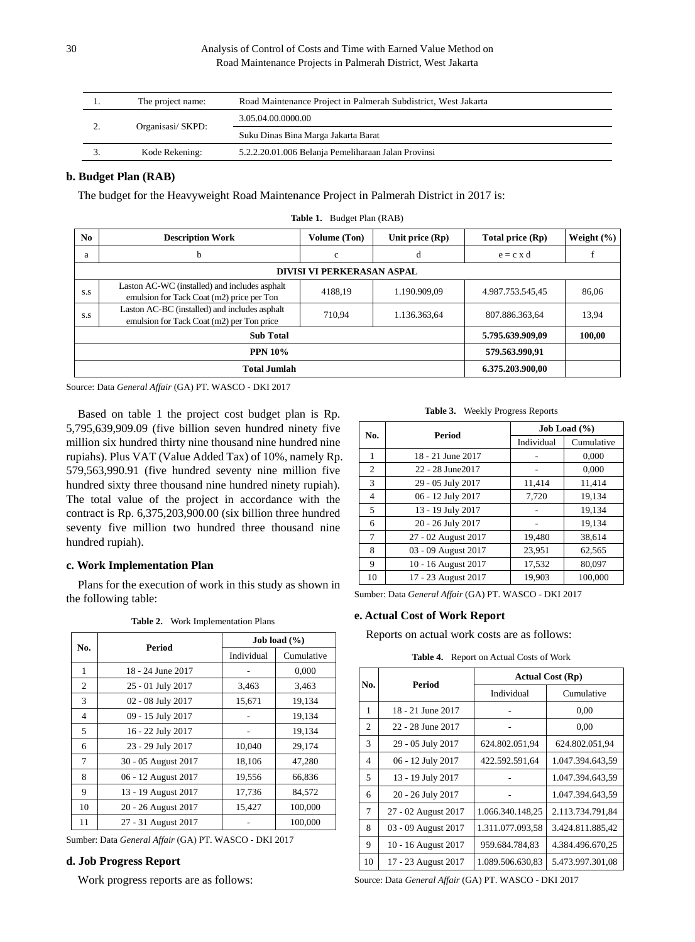| . . | The project name: | Road Maintenance Project in Palmerah Subdistrict, West Jakarta |  |
|-----|-------------------|----------------------------------------------------------------|--|
|     | Organisasi/SKPD:  | 3.05.04.00.0000.00                                             |  |
|     |                   | Suku Dinas Bina Marga Jakarta Barat                            |  |
|     | Kode Rekening:    | 5.2.2.20.01.006 Belanja Pemeliharaan Jalan Provinsi            |  |

## **b. Budget Plan (RAB)**

The budget for the Heavyweight Road Maintenance Project in Palmerah District in 2017 is:

| N <sub>0</sub>      | <b>Description Work</b>                                                                    | <b>Volume</b> (Ton) | Unit price $(Rp)$ | Total price (Rp) | Weight $(\% )$ |  |  |
|---------------------|--------------------------------------------------------------------------------------------|---------------------|-------------------|------------------|----------------|--|--|
| a                   | b                                                                                          | $\mathbf{c}$        | d                 | $e = c \times d$ |                |  |  |
|                     | <b>DIVISI VI PERKERASAN ASPAL</b>                                                          |                     |                   |                  |                |  |  |
| S.S                 | Laston AC-WC (installed) and includes asphalt<br>emulsion for Tack Coat (m2) price per Ton | 4188.19             | 1.190.909.09      | 4.987.753.545,45 | 86,06          |  |  |
| S.S                 | Laston AC-BC (installed) and includes asphalt<br>emulsion for Tack Coat (m2) per Ton price | 710.94              | 1.136.363,64      | 807.886.363.64   | 13.94          |  |  |
| <b>Sub Total</b>    |                                                                                            |                     |                   | 5.795.639.909,09 | 100,00         |  |  |
| <b>PPN 10%</b>      |                                                                                            |                     |                   | 579.563.990.91   |                |  |  |
| <b>Total Jumlah</b> |                                                                                            |                     |                   | 6.375.203.900.00 |                |  |  |
|                     |                                                                                            |                     |                   |                  |                |  |  |

**Table 1.** Budget Plan (RAB)

Source: Data *General Affair* (GA) PT. WASCO - DKI 2017

Based on table 1 the project cost budget plan is Rp. 5,795,639,909.09 (five billion seven hundred ninety five million six hundred thirty nine thousand nine hundred nine rupiahs). Plus VAT (Value Added Tax) of 10%, namely Rp. 579,563,990.91 (five hundred seventy nine million five hundred sixty three thousand nine hundred ninety rupiah). The total value of the project in accordance with the contract is Rp. 6,375,203,900.00 (six billion three hundred seventy five million two hundred three thousand nine hundred rupiah).

## **c. Work Implementation Plan**

Plans for the execution of work in this study as shown in the following table:

| Table 2. | Work Implementation Plans |  |
|----------|---------------------------|--|
|----------|---------------------------|--|

|     |                     | Job load $(\% )$ |            |  |
|-----|---------------------|------------------|------------|--|
| No. | Period              | Individual       | Cumulative |  |
| 1   | 18 - 24 June 2017   |                  | 0,000      |  |
| 2   | 25 - 01 July 2017   | 3,463            | 3,463      |  |
| 3   | 02 - 08 July 2017   | 15,671           | 19,134     |  |
| 4   | 09 - 15 July 2017   |                  | 19,134     |  |
| 5   | 16 - 22 July 2017   |                  | 19,134     |  |
| 6   | 23 - 29 July 2017   | 10,040           | 29,174     |  |
| 7   | 30 - 05 August 2017 | 18,106           | 47,280     |  |
| 8   | 06 - 12 August 2017 | 19,556           | 66.836     |  |
| 9   | 13 - 19 August 2017 | 17,736           | 84,572     |  |
| 10  | 20 - 26 August 2017 | 15,427           | 100,000    |  |
| 11  | 27 - 31 August 2017 |                  | 100,000    |  |

Sumber: Data *General Affair* (GA) PT. WASCO - DKI 2017

## **d. Job Progress Report**

Work progress reports are as follows:

**Table 3.** Weekly Progress Reports

| No. |                     | Job Load $(\% )$ |            |  |
|-----|---------------------|------------------|------------|--|
|     | Period              | Individual       | Cumulative |  |
| 1   | 18 - 21 June 2017   |                  | 0,000      |  |
| 2   | 22 - 28 June 2017   |                  | 0,000      |  |
| 3   | 29 - 05 July 2017   | 11,414           | 11,414     |  |
| 4   | 06 - 12 July 2017   | 7,720            | 19,134     |  |
| 5   | 13 - 19 July 2017   |                  | 19,134     |  |
| 6   | 20 - 26 July 2017   |                  | 19.134     |  |
| 7   | 27 - 02 August 2017 | 19,480           | 38,614     |  |
| 8   | 03 - 09 August 2017 | 23,951           | 62,565     |  |
| 9   | 10 - 16 August 2017 | 17,532           | 80,097     |  |
| 10  | 17 - 23 August 2017 | 19.903           | 100,000    |  |

Sumber: Data *General Affair* (GA) PT. WASCO - DKI 2017

## **e. Actual Cost of Work Report**

Reports on actual work costs are as follows:

**Table 4.** Report on Actual Costs of Work

| No.          | Period              | <b>Actual Cost (Rp)</b> |                  |  |
|--------------|---------------------|-------------------------|------------------|--|
|              |                     | Individual              | Cumulative       |  |
| $\mathbf{1}$ | 18 - 21 June 2017   |                         | 0,00             |  |
| 2            | 22 - 28 June 2017   |                         | 0,00             |  |
| 3            | 29 - 05 July 2017   | 624.802.051,94          | 624.802.051.94   |  |
| 4            | 06 - 12 July 2017   | 422.592.591,64          | 1.047.394.643.59 |  |
| 5            | 13 - 19 July 2017   |                         | 1.047.394.643.59 |  |
| 6            | 20 - 26 July 2017   |                         | 1.047.394.643.59 |  |
| 7            | 27 - 02 August 2017 | 1.066.340.148.25        | 2.113.734.791.84 |  |
| 8            | 03 - 09 August 2017 | 1.311.077.093,58        | 3.424.811.885,42 |  |
| 9            | 10 - 16 August 2017 | 959.684.784.83          | 4.384.496.670,25 |  |
| 10           | 17 - 23 August 2017 | 1.089.506.630,83        | 5.473.997.301,08 |  |

Source: Data *General Affair* (GA) PT. WASCO - DKI 2017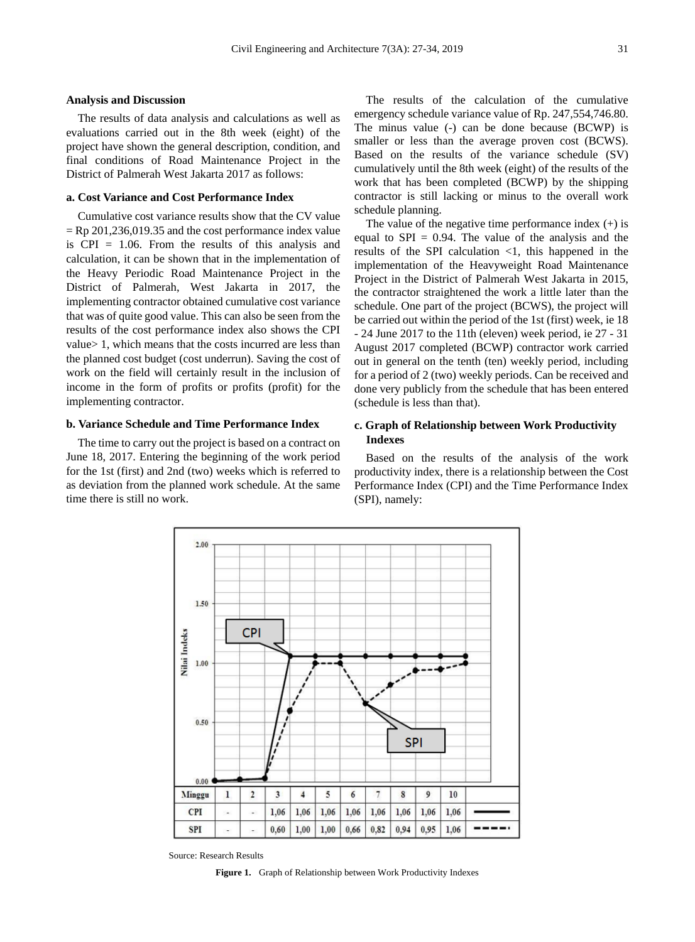#### **Analysis and Discussion**

The results of data analysis and calculations as well as evaluations carried out in the 8th week (eight) of the project have shown the general description, condition, and final conditions of Road Maintenance Project in the District of Palmerah West Jakarta 2017 as follows:

## **a. Cost Variance and Cost Performance Index**

Cumulative cost variance results show that the CV value  $=$  Rp 201,236,019.35 and the cost performance index value is CPI = 1.06. From the results of this analysis and calculation, it can be shown that in the implementation of the Heavy Periodic Road Maintenance Project in the District of Palmerah, West Jakarta in 2017, the implementing contractor obtained cumulative cost variance that was of quite good value. This can also be seen from the results of the cost performance index also shows the CPI value> 1, which means that the costs incurred are less than the planned cost budget (cost underrun). Saving the cost of work on the field will certainly result in the inclusion of income in the form of profits or profits (profit) for the implementing contractor.

## **b. Variance Schedule and Time Performance Index**

The time to carry out the project is based on a contract on June 18, 2017. Entering the beginning of the work period for the 1st (first) and 2nd (two) weeks which is referred to as deviation from the planned work schedule. At the same time there is still no work.

The results of the calculation of the cumulative emergency schedule variance value of Rp. 247,554,746.80. The minus value (-) can be done because (BCWP) is smaller or less than the average proven cost (BCWS). Based on the results of the variance schedule (SV) cumulatively until the 8th week (eight) of the results of the work that has been completed (BCWP) by the shipping contractor is still lacking or minus to the overall work schedule planning.

The value of the negative time performance index  $(+)$  is equal to  $SPI = 0.94$ . The value of the analysis and the results of the SPI calculation  $\langle 1$ , this happened in the implementation of the Heavyweight Road Maintenance Project in the District of Palmerah West Jakarta in 2015, the contractor straightened the work a little later than the schedule. One part of the project (BCWS), the project will be carried out within the period of the 1st (first) week, ie 18 - 24 June 2017 to the 11th (eleven) week period, ie 27 - 31 August 2017 completed (BCWP) contractor work carried out in general on the tenth (ten) weekly period, including for a period of 2 (two) weekly periods. Can be received and done very publicly from the schedule that has been entered (schedule is less than that).

## **c. Graph of Relationship between Work Productivity Indexes**

Based on the results of the analysis of the work productivity index, there is a relationship between the Cost Performance Index (CPI) and the Time Performance Index (SPI), namely:



Source: Research Results

**Figure 1.** Graph of Relationship between Work Productivity Indexes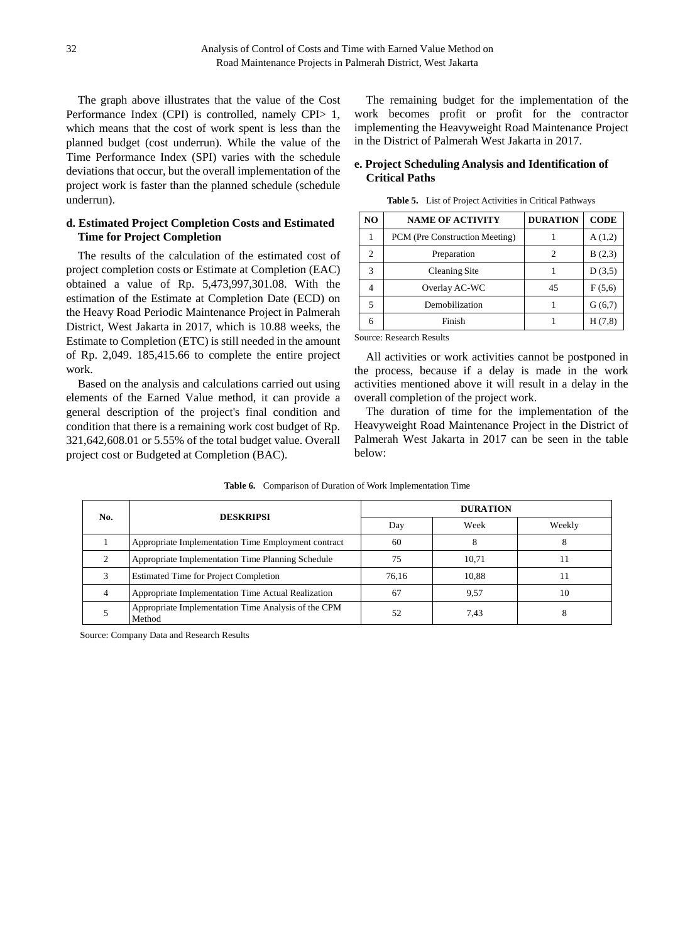The graph above illustrates that the value of the Cost Performance Index (CPI) is controlled, namely CPI> 1, which means that the cost of work spent is less than the planned budget (cost underrun). While the value of the Time Performance Index (SPI) varies with the schedule deviations that occur, but the overall implementation of the project work is faster than the planned schedule (schedule underrun).

## **d. Estimated Project Completion Costs and Estimated Time for Project Completion**

The results of the calculation of the estimated cost of project completion costs or Estimate at Completion (EAC) obtained a value of Rp. 5,473,997,301.08. With the estimation of the Estimate at Completion Date (ECD) on the Heavy Road Periodic Maintenance Project in Palmerah District, West Jakarta in 2017, which is 10.88 weeks, the Estimate to Completion (ETC) is still needed in the amount of Rp. 2,049. 185,415.66 to complete the entire project work.

Based on the analysis and calculations carried out using elements of the Earned Value method, it can provide a general description of the project's final condition and condition that there is a remaining work cost budget of Rp. 321,642,608.01 or 5.55% of the total budget value. Overall project cost or Budgeted at Completion (BAC).

The remaining budget for the implementation of the work becomes profit or profit for the contractor implementing the Heavyweight Road Maintenance Project in the District of Palmerah West Jakarta in 2017.

## **e. Project Scheduling Analysis and Identification of Critical Paths**

| NO             | <b>NAME OF ACTIVITY</b>        | <b>DURATION</b> | <b>CODE</b> |
|----------------|--------------------------------|-----------------|-------------|
|                | PCM (Pre Construction Meeting) |                 | A(1,2)      |
| $\overline{c}$ | Preparation                    | 2               | B(2,3)      |
| 3              | Cleaning Site                  |                 | D(3,5)      |
|                | Overlay AC-WC                  | 45              | F(5,6)      |
| 5              | Demobilization                 |                 | G(6,7)      |
| 6              | Finish                         |                 | H(7,8)      |

**Table 5.** List of Project Activities in Critical Pathways

Source: Research Results

All activities or work activities cannot be postponed in the process, because if a delay is made in the work activities mentioned above it will result in a delay in the overall completion of the project work.

The duration of time for the implementation of the Heavyweight Road Maintenance Project in the District of Palmerah West Jakarta in 2017 can be seen in the table below:

| No. | <b>DESKRIPSI</b>                                              |       | <b>DURATION</b> |    |  |
|-----|---------------------------------------------------------------|-------|-----------------|----|--|
|     |                                                               | Day   | Week<br>Weekly  |    |  |
|     | Appropriate Implementation Time Employment contract           | 60    |                 |    |  |
|     | Appropriate Implementation Time Planning Schedule             | 75    | 10.71           |    |  |
|     | <b>Estimated Time for Project Completion</b>                  | 76.16 | 10.88           | 11 |  |
|     | Appropriate Implementation Time Actual Realization            | 67    | 9,57            | 10 |  |
|     | Appropriate Implementation Time Analysis of the CPM<br>Method | 52    | 7.43            | 8  |  |

**Table 6.** Comparison of Duration of Work Implementation Time

Source: Company Data and Research Results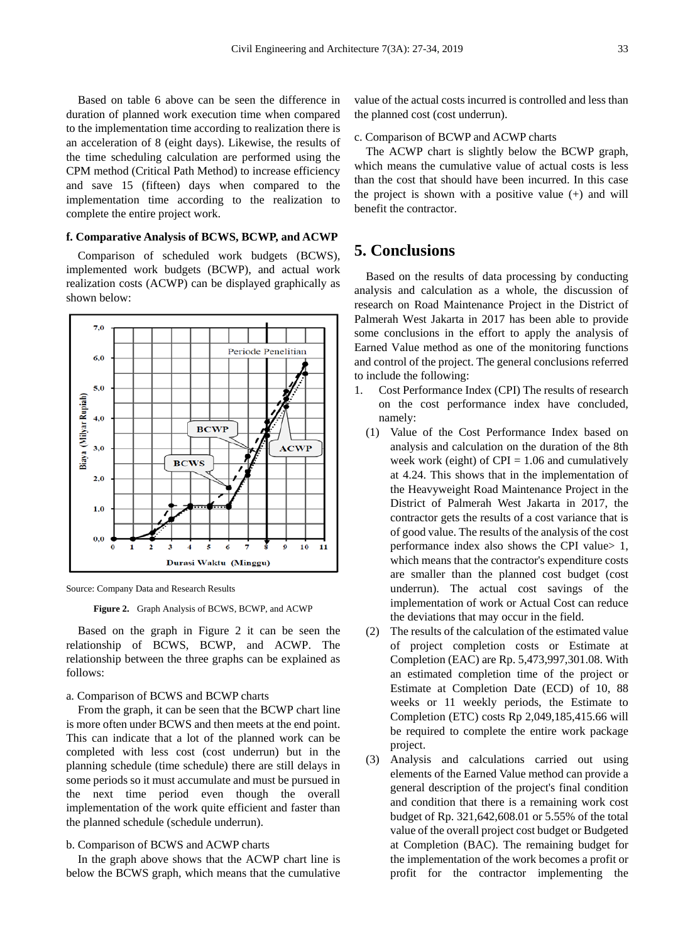Based on table 6 above can be seen the difference in duration of planned work execution time when compared to the implementation time according to realization there is an acceleration of 8 (eight days). Likewise, the results of the time scheduling calculation are performed using the CPM method (Critical Path Method) to increase efficiency and save 15 (fifteen) days when compared to the implementation time according to the realization to complete the entire project work.

## **f. Comparative Analysis of BCWS, BCWP, and ACWP**

Comparison of scheduled work budgets (BCWS), implemented work budgets (BCWP), and actual work realization costs (ACWP) can be displayed graphically as shown below:



Source: Company Data and Research Results

**Figure 2.** Graph Analysis of BCWS, BCWP, and ACWP

Based on the graph in Figure 2 it can be seen the relationship of BCWS, BCWP, and ACWP. The relationship between the three graphs can be explained as follows:

#### a. Comparison of BCWS and BCWP charts

From the graph, it can be seen that the BCWP chart line is more often under BCWS and then meets at the end point. This can indicate that a lot of the planned work can be completed with less cost (cost underrun) but in the planning schedule (time schedule) there are still delays in some periods so it must accumulate and must be pursued in the next time period even though the overall implementation of the work quite efficient and faster than the planned schedule (schedule underrun).

## b. Comparison of BCWS and ACWP charts

In the graph above shows that the ACWP chart line is below the BCWS graph, which means that the cumulative

value of the actual costs incurred is controlled and less than the planned cost (cost underrun).

c. Comparison of BCWP and ACWP charts

The ACWP chart is slightly below the BCWP graph, which means the cumulative value of actual costs is less than the cost that should have been incurred. In this case the project is shown with a positive value (+) and will benefit the contractor.

# **5. Conclusions**

Based on the results of data processing by conducting analysis and calculation as a whole, the discussion of research on Road Maintenance Project in the District of Palmerah West Jakarta in 2017 has been able to provide some conclusions in the effort to apply the analysis of Earned Value method as one of the monitoring functions and control of the project. The general conclusions referred to include the following:

- 1. Cost Performance Index (CPI) The results of research on the cost performance index have concluded, namely:
	- (1) Value of the Cost Performance Index based on analysis and calculation on the duration of the 8th week work (eight) of  $CPI = 1.06$  and cumulatively at 4.24. This shows that in the implementation of the Heavyweight Road Maintenance Project in the District of Palmerah West Jakarta in 2017, the contractor gets the results of a cost variance that is of good value. The results of the analysis of the cost performance index also shows the CPI value> 1, which means that the contractor's expenditure costs are smaller than the planned cost budget (cost underrun). The actual cost savings of the implementation of work or Actual Cost can reduce the deviations that may occur in the field.
	- (2) The results of the calculation of the estimated value of project completion costs or Estimate at Completion (EAC) are Rp. 5,473,997,301.08. With an estimated completion time of the project or Estimate at Completion Date (ECD) of 10, 88 weeks or 11 weekly periods, the Estimate to Completion (ETC) costs Rp 2,049,185,415.66 will be required to complete the entire work package project.
	- (3) Analysis and calculations carried out using elements of the Earned Value method can provide a general description of the project's final condition and condition that there is a remaining work cost budget of Rp. 321,642,608.01 or 5.55% of the total value of the overall project cost budget or Budgeted at Completion (BAC). The remaining budget for the implementation of the work becomes a profit or profit for the contractor implementing the